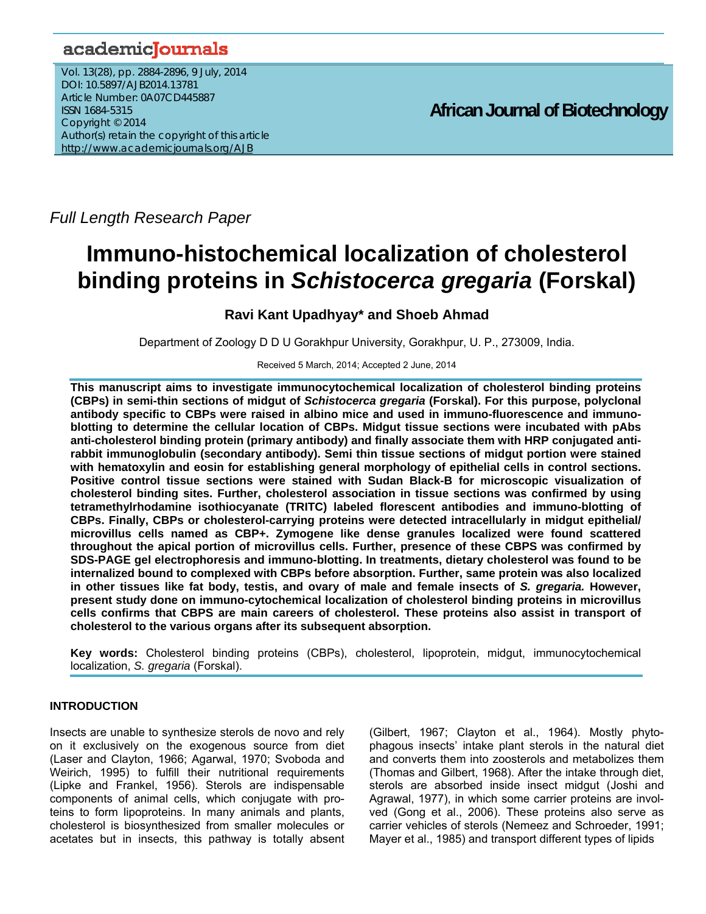## academicJournals

Vol. 13(28), pp. 2884-2896, 9 July, 2014 DOI: 10.5897/AJB2014.13781 Article Number: 0A07CD445887 ISSN 1684-5315 Copyright © 2014 Author(s) retain the copyright of this article http://www.academicjournals.org/AJB

**African Journal of Biotechnology**

*Full Length Research Paper*

# **Immuno-histochemical localization of cholesterol binding proteins in** *Schistocerca gregaria* **(Forskal)**

### **Ravi Kant Upadhyay\* and Shoeb Ahmad**

Department of Zoology D D U Gorakhpur University, Gorakhpur, U. P., 273009, India.

Received 5 March, 2014; Accepted 2 June, 2014

**This manuscript aims to investigate immunocytochemical localization of cholesterol binding proteins (CBPs) in semi-thin sections of midgut of** *Schistocerca gregaria* **(Forskal). For this purpose, polyclonal antibody specific to CBPs were raised in albino mice and used in immuno-fluorescence and immunoblotting to determine the cellular location of CBPs. Midgut tissue sections were incubated with pAbs anti-cholesterol binding protein (primary antibody) and finally associate them with HRP conjugated antirabbit immunoglobulin (secondary antibody). Semi thin tissue sections of midgut portion were stained with hematoxylin and eosin for establishing general morphology of epithelial cells in control sections. Positive control tissue sections were stained with Sudan Black-B for microscopic visualization of cholesterol binding sites. Further, cholesterol association in tissue sections was confirmed by using tetramethylrhodamine isothiocyanate (TRITC) labeled florescent antibodies and immuno-blotting of CBPs. Finally, CBPs or cholesterol-carrying proteins were detected intracellularly in midgut epithelial/ microvillus cells named as CBP+. Zymogene like dense granules localized were found scattered throughout the apical portion of microvillus cells. Further, presence of these CBPS was confirmed by SDS-PAGE gel electrophoresis and immuno-blotting. In treatments, dietary cholesterol was found to be internalized bound to complexed with CBPs before absorption. Further, same protein was also localized in other tissues like fat body, testis, and ovary of male and female insects of** *S. gregaria.* **However, present study done on immuno-cytochemical localization of cholesterol binding proteins in microvillus cells confirms that CBPS are main careers of cholesterol. These proteins also assist in transport of cholesterol to the various organs after its subsequent absorption.** 

**Key words:** Cholesterol binding proteins (CBPs), cholesterol, lipoprotein, midgut, immunocytochemical localization, *S. gregaria* (Forskal).

### **INTRODUCTION**

Insects are unable to synthesize sterols de novo and rely on it exclusively on the exogenous source from diet (Laser and Clayton, 1966; Agarwal, 1970; Svoboda and Weirich, 1995) to fulfill their nutritional requirements (Lipke and Frankel, 1956). Sterols are indispensable components of animal cells, which conjugate with proteins to form lipoproteins. In many animals and plants, cholesterol is biosynthesized from smaller molecules or acetates but in insects, this pathway is totally absent (Gilbert, 1967; Clayton et al., 1964). Mostly phytophagous insects' intake plant sterols in the natural diet and converts them into zoosterols and metabolizes them (Thomas and Gilbert, 1968). After the intake through diet, sterols are absorbed inside insect midgut (Joshi and Agrawal, 1977), in which some carrier proteins are involved (Gong et al., 2006). These proteins also serve as carrier vehicles of sterols (Nemeez and Schroeder, 1991; Mayer et al., 1985) and transport different types of lipids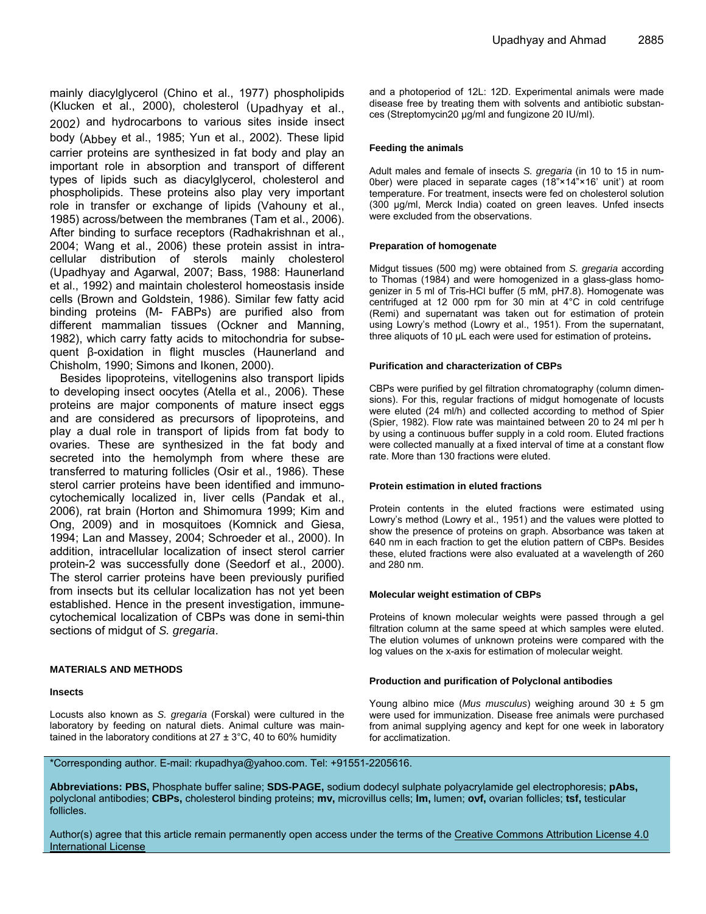mainly diacylglycerol (Chino et al., 1977) phospholipids (Klucken et al., 2000), cholesterol (Upadhyay et al., 2002) and hydrocarbons to various sites inside insect body (Abbey et al., 1985; Yun et al., 2002). These lipid carrier proteins are synthesized in fat body and play an important role in absorption and transport of different types of lipids such as diacylglycerol, cholesterol and phospholipids. These proteins also play very important role in transfer or exchange of lipids (Vahouny et al., 1985) across/between the membranes (Tam et al., 2006). After binding to surface receptors (Radhakrishnan et al., 2004; Wang et al., 2006) these protein assist in intracellular distribution of sterols mainly cholesterol (Upadhyay and Agarwal, 2007; Bass, 1988: Haunerland et al., 1992) and maintain cholesterol homeostasis inside cells (Brown and Goldstein, 1986). Similar few fatty acid binding proteins (M- FABPs) are purified also from different mammalian tissues (Ockner and Manning, 1982), which carry fatty acids to mitochondria for subsequent β-oxidation in flight muscles (Haunerland and Chisholm, 1990; Simons and Ikonen, 2000).

Besides lipoproteins, vitellogenins also transport lipids to developing insect oocytes (Atella et al., 2006). These proteins are major components of mature insect eggs and are considered as precursors of lipoproteins, and play a dual role in transport of lipids from fat body to ovaries. These are synthesized in the fat body and secreted into the hemolymph from where these are transferred to maturing follicles (Osir et al., 1986). These sterol carrier proteins have been identified and immunocytochemically localized in, liver cells (Pandak et al., 2006), rat brain (Horton and Shimomura 1999; Kim and Ong, 2009) and in mosquitoes (Komnick and Giesa, 1994; Lan and Massey, 2004; Schroeder et al., 2000). In addition, intracellular localization of insect sterol carrier protein-2 was successfully done (Seedorf et al., 2000). The sterol carrier proteins have been previously purified from insects but its cellular localization has not yet been established. Hence in the present investigation, immunecytochemical localization of CBPs was done in semi-thin sections of midgut of *S. gregaria*.

#### **MATERIALS AND METHODS**

#### **Insects**

Locusts also known as *S. gregaria* (Forskal) were cultured in the laboratory by feeding on natural diets. Animal culture was maintained in the laboratory conditions at  $27 \pm 3^{\circ}$ C, 40 to 60% humidity

and a photoperiod of 12L: 12D. Experimental animals were made disease free by treating them with solvents and antibiotic substances (Streptomycin20 µg/ml and fungizone 20 IU/ml).

#### **Feeding the animals**

Adult males and female of insects *S. gregaria* (in 10 to 15 in num-0ber) were placed in separate cages (18"×14"×16' unit') at room temperature. For treatment, insects were fed on cholesterol solution (300 µg/ml, Merck India) coated on green leaves. Unfed insects were excluded from the observations.

#### **Preparation of homogenate**

Midgut tissues (500 mg) were obtained from *S. gregaria* according to Thomas (1984) and were homogenized in a glass-glass homogenizer in 5 ml of Tris-HCl buffer (5 mM, pH7.8). Homogenate was centrifuged at 12 000 rpm for 30 min at 4°C in cold centrifuge (Remi) and supernatant was taken out for estimation of protein using Lowry's method (Lowry et al., 1951). From the supernatant, three aliquots of 10 µL each were used for estimation of proteins**.** 

#### **Purification and characterization of CBPs**

CBPs were purified by gel filtration chromatography (column dimensions). For this, regular fractions of midgut homogenate of locusts were eluted (24 ml/h) and collected according to method of Spier (Spier, 1982). Flow rate was maintained between 20 to 24 ml per h by using a continuous buffer supply in a cold room. Eluted fractions were collected manually at a fixed interval of time at a constant flow rate. More than 130 fractions were eluted.

#### **Protein estimation in eluted fractions**

Protein contents in the eluted fractions were estimated using Lowry's method (Lowry et al., 1951) and the values were plotted to show the presence of proteins on graph. Absorbance was taken at 640 nm in each fraction to get the elution pattern of CBPs. Besides these, eluted fractions were also evaluated at a wavelength of 260 and 280 nm.

#### **Molecular weight estimation of CBPs**

Proteins of known molecular weights were passed through a gel filtration column at the same speed at which samples were eluted. The elution volumes of unknown proteins were compared with the log values on the x-axis for estimation of molecular weight.

#### **Production and purification of Polyclonal antibodies**

Young albino mice (*Mus musculus*) weighing around 30 ± 5 gm were used for immunization. Disease free animals were purchased from animal supplying agency and kept for one week in laboratory for acclimatization.

#### \*Corresponding author. E-mail: rkupadhya@yahoo.com. Tel: +91551-2205616.

**Abbreviations: PBS,** Phosphate buffer saline; **SDS-PAGE,** sodium dodecyl sulphate polyacrylamide gel electrophoresis; **pAbs,** polyclonal antibodies; **CBPs,** cholesterol binding proteins; **mv,** microvillus cells; **lm,** lumen; **ovf,** ovarian follicles; **tsf,** testicular follicles.

Author(s) agree that this article remain permanently open access under the terms of the Creative Commons Attribution License 4.0 International License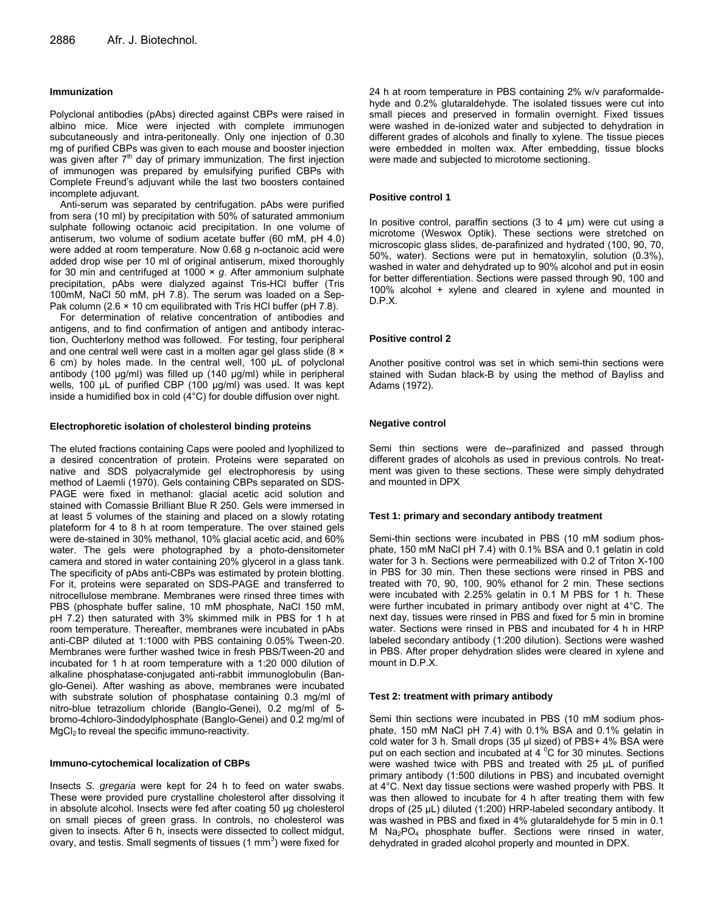#### **Immunization**

Polyclonal antibodies (pAbs) directed against CBPs were raised in albino mice. Mice were injected with complete immunogen subcutaneously and intra-peritoneally. Only one injection of 0.30 mg of purified CBPs was given to each mouse and booster injection was given after  $7<sup>th</sup>$  day of primary immunization. The first injection of immunogen was prepared by emulsifying purified CBPs with Complete Freund's adjuvant while the last two boosters contained incomplete adjuvant.

Anti-serum was separated by centrifugation. pAbs were purified from sera (10 ml) by precipitation with 50% of saturated ammonium sulphate following octanoic acid precipitation. In one volume of antiserum, two volume of sodium acetate buffer (60 mM, pH 4.0) were added at room temperature. Now 0.68 g n-octanoic acid were added drop wise per 10 ml of original antiserum, mixed thoroughly for 30 min and centrifuged at 1000 × *g*. After ammonium sulphate precipitation, pAbs were dialyzed against Tris-HCl buffer (Tris 100mM, NaCl 50 mM, pH 7.8). The serum was loaded on a Sep-Pak column (2.6  $\times$  10 cm equilibrated with Tris HCl buffer (pH 7.8).

For determination of relative concentration of antibodies and antigens, and to find confirmation of antigen and antibody interaction, Ouchterlony method was followed. For testing, four peripheral and one central well were cast in a molten agar gel glass slide (8  $\times$ 6 cm) by holes made. In the central well, 100 µL of polyclonal antibody (100 µg/ml) was filled up (140 µg/ml) while in peripheral wells, 100 µL of purified CBP (100 µg/ml) was used. It was kept inside a humidified box in cold (4°C) for double diffusion over night.

#### **Electrophoretic isolation of cholesterol binding proteins**

The eluted fractions containing Caps were pooled and lyophilized to a desired concentration of protein. Proteins were separated on native and SDS polyacralymide gel electrophoresis by using method of Laemli (1970). Gels containing CBPs separated on SDS-PAGE were fixed in methanol: glacial acetic acid solution and stained with Comassie Brilliant Blue R 250. Gels were immersed in at least 5 volumes of the staining and placed on a slowly rotating plateform for 4 to 8 h at room temperature. The over stained gels were de-stained in 30% methanol, 10% glacial acetic acid, and 60% water. The gels were photographed by a photo-densitometer camera and stored in water containing 20% glycerol in a glass tank. The specificity of pAbs anti-CBPs was estimated by protein blotting. For it, proteins were separated on SDS-PAGE and transferred to nitrocellulose membrane. Membranes were rinsed three times with PBS (phosphate buffer saline, 10 mM phosphate, NaCl 150 mM, pH 7.2) then saturated with 3% skimmed milk in PBS for 1 h at room temperature. Thereafter, membranes were incubated in pAbs anti-CBP diluted at 1:1000 with PBS containing 0.05% Tween-20. Membranes were further washed twice in fresh PBS/Tween-20 and incubated for 1 h at room temperature with a 1:20 000 dilution of alkaline phosphatase-conjugated anti-rabbit immunoglobulin (Banglo-Genei). After washing as above, membranes were incubated with substrate solution of phosphatase containing 0.3 mg/ml of nitro-blue tetrazolium chloride (Banglo-Genei), 0.2 mg/ml of 5 bromo-4chloro-3indodylphosphate (Banglo-Genei) and 0.2 mg/ml of MgCl<sub>2</sub> to reveal the specific immuno-reactivity.

#### **Immuno-cytochemical localization of CBPs**

Insects *S. gregaria* were kept for 24 h to feed on water swabs. These were provided pure crystalline cholesterol after dissolving it in absolute alcohol. Insects were fed after coating 50 μg cholesterol on small pieces of green grass. In controls, no cholesterol was given to insects. After 6 h, insects were dissected to collect midgut, ovary, and testis. Small segments of tissues (1  $mm<sup>3</sup>$ ) were fixed for

24 h at room temperature in PBS containing 2% w/v paraformaldehyde and 0.2% glutaraldehyde. The isolated tissues were cut into small pieces and preserved in formalin overnight. Fixed tissues were washed in de-ionized water and subjected to dehydration in different grades of alcohols and finally to xylene. The tissue pieces were embedded in molten wax. After embedding, tissue blocks were made and subjected to microtome sectioning.

#### **Positive control 1**

In positive control, paraffin sections (3 to 4 μm) were cut using a microtome (Weswox Optik). These sections were stretched on microscopic glass slides, de-parafinized and hydrated (100, 90, 70, 50%, water). Sections were put in hematoxylin, solution (0.3%), washed in water and dehydrated up to 90% alcohol and put in eosin for better differentiation. Sections were passed through 90, 100 and 100% alcohol + xylene and cleared in xylene and mounted in D.P.X.

#### **Positive control 2**

Another positive control was set in which semi-thin sections were stained with Sudan black-B by using the method of Bayliss and Adams (1972).

#### **Negative control**

Semi thin sections were de--parafinized and passed through different grades of alcohols as used in previous controls. No treatment was given to these sections. These were simply dehydrated and mounted in DPX

#### **Test 1: primary and secondary antibody treatment**

Semi-thin sections were incubated in PBS (10 mM sodium phosphate, 150 mM NaCl pH 7.4) with 0.1% BSA and 0.1 gelatin in cold water for 3 h. Sections were permeabilized with 0.2 of Triton X-100 in PBS for 30 min. Then these sections were rinsed in PBS and treated with 70, 90, 100, 90% ethanol for 2 min. These sections were incubated with 2.25% gelatin in 0.1 M PBS for 1 h. These were further incubated in primary antibody over night at 4°C. The next day, tissues were rinsed in PBS and fixed for 5 min in bromine water. Sections were rinsed in PBS and incubated for 4 h in HRP labeled secondary antibody (1:200 dilution). Sections were washed in PBS. After proper dehydration slides were cleared in xylene and mount in D.P.X.

#### **Test 2: treatment with primary antibody**

Semi thin sections were incubated in PBS (10 mM sodium phosphate, 150 mM NaCl pH 7.4) with 0.1% BSA and 0.1% gelatin in cold water for 3 h. Small drops (35 μl sized) of PBS+ 4% BSA were put on each section and incubated at 4  $\mathrm{^0C}$  for 30 minutes. Sections were washed twice with PBS and treated with 25 μL of purified primary antibody (1:500 dilutions in PBS) and incubated overnight at 4°C. Next day tissue sections were washed properly with PBS. It was then allowed to incubate for 4 h after treating them with few drops of (25 µL) diluted (1:200) HRP-labeled secondary antibody. It was washed in PBS and fixed in 4% glutaraldehyde for 5 min in 0.1 M Na<sub>2</sub>PO<sub>4</sub> phosphate buffer. Sections were rinsed in water, dehydrated in graded alcohol properly and mounted in DPX.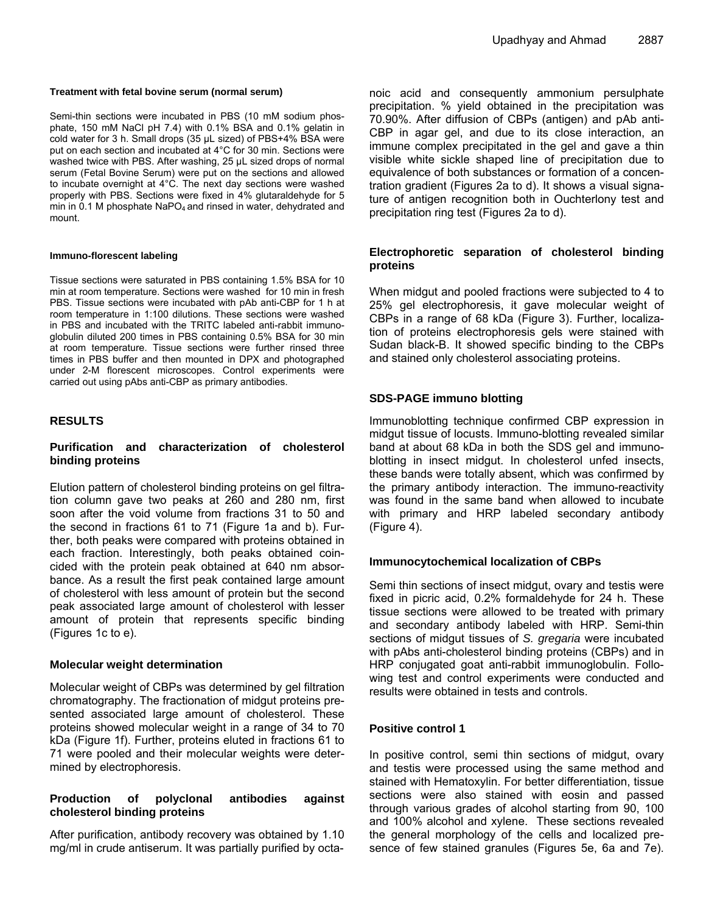### **Treatment with fetal bovine serum (normal serum)**

Semi-thin sections were incubated in PBS (10 mM sodium phosphate, 150 mM NaCl pH 7.4) with 0.1% BSA and 0.1% gelatin in cold water for 3 h. Small drops (35 μL sized) of PBS+4% BSA were put on each section and incubated at 4°C for 30 min. Sections were washed twice with PBS. After washing, 25 μL sized drops of normal serum (Fetal Bovine Serum) were put on the sections and allowed to incubate overnight at 4°C. The next day sections were washed properly with PBS. Sections were fixed in 4% glutaraldehyde for 5 min in  $0.1$  M phosphate NaPO<sub>4</sub> and rinsed in water, dehydrated and mount.

### **Immuno-florescent labeling**

Tissue sections were saturated in PBS containing 1.5% BSA for 10 min at room temperature. Sections were washed for 10 min in fresh PBS. Tissue sections were incubated with pAb anti-CBP for 1 h at room temperature in 1:100 dilutions. These sections were washed in PBS and incubated with the TRITC labeled anti-rabbit immunoglobulin diluted 200 times in PBS containing 0.5% BSA for 30 min at room temperature. Tissue sections were further rinsed three times in PBS buffer and then mounted in DPX and photographed under 2-M florescent microscopes. Control experiments were carried out using pAbs anti-CBP as primary antibodies.

### **RESULTS**

### **Purification and characterization of cholesterol binding proteins**

Elution pattern of cholesterol binding proteins on gel filtration column gave two peaks at 260 and 280 nm, first soon after the void volume from fractions 31 to 50 and the second in fractions 61 to 71 (Figure 1a and b). Further, both peaks were compared with proteins obtained in each fraction. Interestingly, both peaks obtained coincided with the protein peak obtained at 640 nm absorbance. As a result the first peak contained large amount of cholesterol with less amount of protein but the second peak associated large amount of cholesterol with lesser amount of protein that represents specific binding (Figures 1c to e).

### **Molecular weight determination**

Molecular weight of CBPs was determined by gel filtration chromatography. The fractionation of midgut proteins presented associated large amount of cholesterol. These proteins showed molecular weight in a range of 34 to 70 kDa (Figure 1f). Further, proteins eluted in fractions 61 to 71 were pooled and their molecular weights were determined by electrophoresis.

### **Production of polyclonal antibodies against cholesterol binding proteins**

After purification, antibody recovery was obtained by 1.10 mg/ml in crude antiserum. It was partially purified by octanoic acid and consequently ammonium persulphate precipitation. % yield obtained in the precipitation was 70.90%. After diffusion of CBPs (antigen) and pAb anti-CBP in agar gel, and due to its close interaction, an immune complex precipitated in the gel and gave a thin visible white sickle shaped line of precipitation due to equivalence of both substances or formation of a concentration gradient (Figures 2a to d). It shows a visual signature of antigen recognition both in Ouchterlony test and precipitation ring test (Figures 2a to d).

### **Electrophoretic separation of cholesterol binding proteins**

When midgut and pooled fractions were subjected to 4 to 25% gel electrophoresis, it gave molecular weight of CBPs in a range of 68 kDa (Figure 3). Further, localization of proteins electrophoresis gels were stained with Sudan black-B. It showed specific binding to the CBPs and stained only cholesterol associating proteins.

### **SDS-PAGE immuno blotting**

Immunoblotting technique confirmed CBP expression in midgut tissue of locusts. Immuno-blotting revealed similar band at about 68 kDa in both the SDS gel and immunoblotting in insect midgut. In cholesterol unfed insects, these bands were totally absent, which was confirmed by the primary antibody interaction. The immuno-reactivity was found in the same band when allowed to incubate with primary and HRP labeled secondary antibody (Figure 4).

### **Immunocytochemical localization of CBPs**

Semi thin sections of insect midgut, ovary and testis were fixed in picric acid, 0.2% formaldehyde for 24 h. These tissue sections were allowed to be treated with primary and secondary antibody labeled with HRP. Semi-thin sections of midgut tissues of *S. gregaria* were incubated with pAbs anti-cholesterol binding proteins (CBPs) and in HRP conjugated goat anti-rabbit immunoglobulin. Following test and control experiments were conducted and results were obtained in tests and controls.

### **Positive control 1**

In positive control, semi thin sections of midgut, ovary and testis were processed using the same method and stained with Hematoxylin. For better differentiation, tissue sections were also stained with eosin and passed through various grades of alcohol starting from 90, 100 and 100% alcohol and xylene. These sections revealed the general morphology of the cells and localized presence of few stained granules (Figures 5e, 6a and 7e).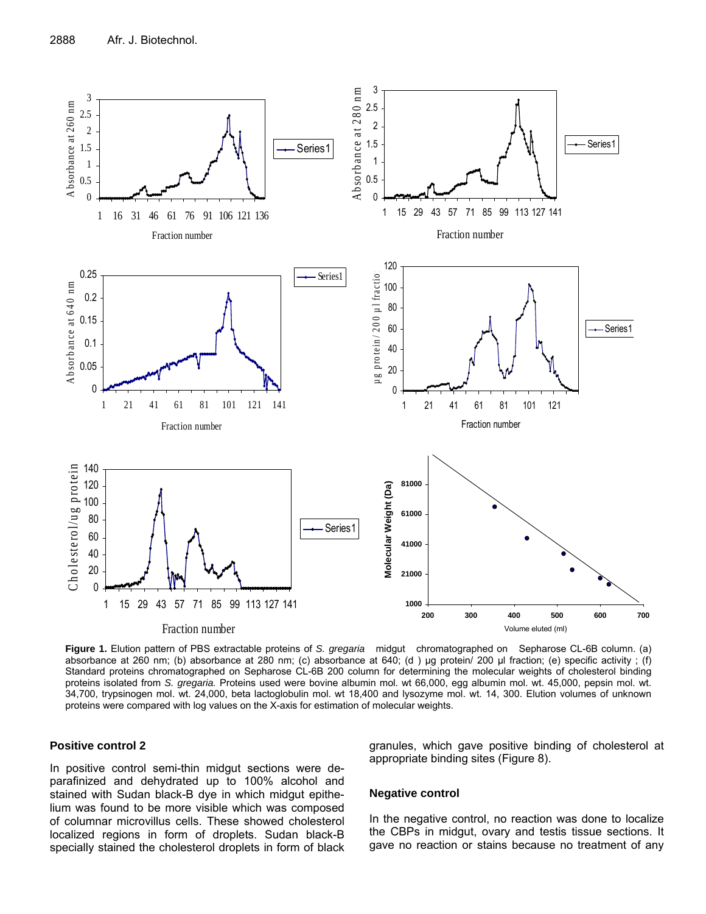

**Figure 1.** Elution pattern of PBS extractable proteins of *S. gregaria* midgut chromatographed on Sepharose CL-6B column. (a) absorbance at 260 nm; (b) absorbance at 280 nm; (c) absorbance at 640; (d) ug protein/ 200 ul fraction; (e) specific activity; (f) Standard proteins chromatographed on Sepharose CL-6B 200 column for determining the molecular weights of cholesterol binding proteins isolated from *S. gregaria.* Proteins used were bovine albumin mol. wt 66,000, egg albumin mol. wt. 45,000, pepsin mol. wt. 34,700, trypsinogen mol. wt. 24,000, beta lactoglobulin mol. wt 18,400 and lysozyme mol. wt. 14, 300. Elution volumes of unknown proteins were compared with log values on the X-axis for estimation of molecular weights.

#### **Positive control 2**

In positive control semi-thin midgut sections were deparafinized and dehydrated up to 100% alcohol and stained with Sudan black-B dye in which midgut epithelium was found to be more visible which was composed of columnar microvillus cells. These showed cholesterol localized regions in form of droplets. Sudan black-B specially stained the cholesterol droplets in form of black granules, which gave positive binding of cholesterol at appropriate binding sites (Figure 8).

#### **Negative control**

In the negative control, no reaction was done to localize the CBPs in midgut, ovary and testis tissue sections. It gave no reaction or stains because no treatment of any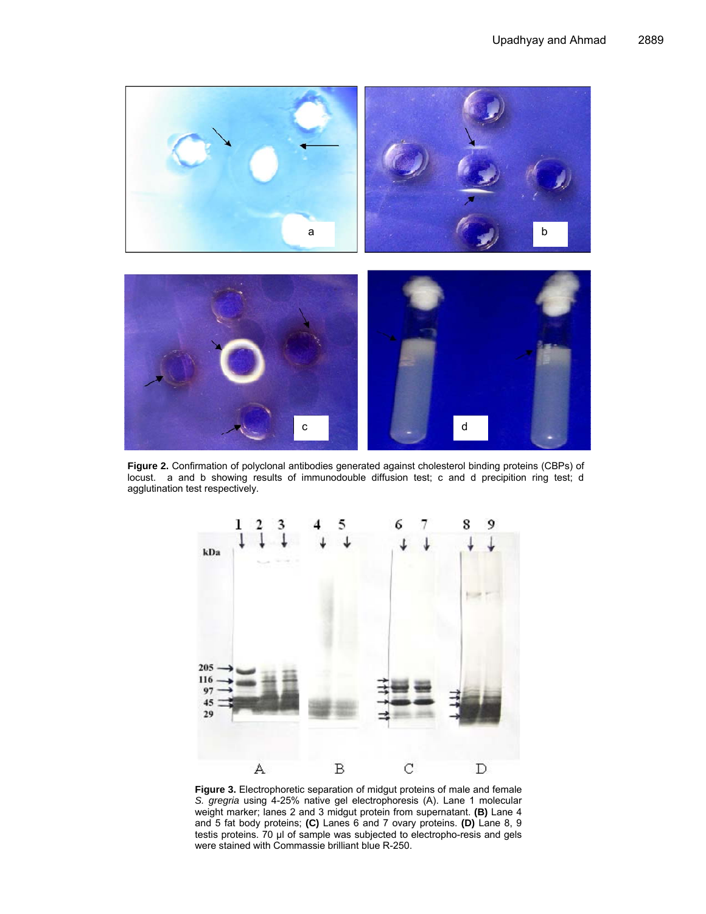

**Figure 2.** Confirmation of polyclonal antibodies generated against cholesterol binding proteins (CBPs) of locust. a and b showing results of immunodouble diffusion test; c and d precipition ring test; d agglutination test respectively.



**Figure 3.** Electrophoretic separation of midgut proteins of male and female *S. gregria* using 4-25% native gel electrophoresis (A). Lane 1 molecular weight marker; lanes 2 and 3 midgut protein from supernatant. **(B)** Lane 4 and 5 fat body proteins; **(C)** Lanes 6 and 7 ovary proteins. **(D)** Lane 8, 9 testis proteins. 70 µl of sample was subjected to electropho-resis and gels were stained with Commassie brilliant blue R-250.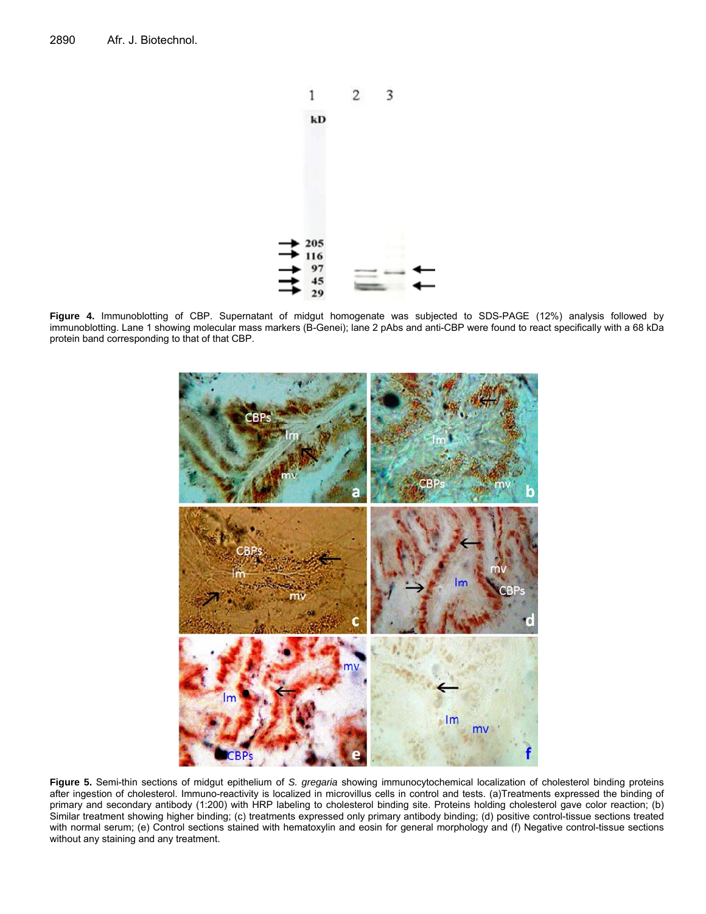

**Figure 4.** Immunoblotting of CBP. Supernatant of midgut homogenate was subjected to SDS-PAGE (12%) analysis followed by immunoblotting. Lane 1 showing molecular mass markers (B-Genei); lane 2 pAbs and anti-CBP were found to react specifically with a 68 kDa protein band corresponding to that of that CBP.



**Figure 5.** Semi-thin sections of midgut epithelium of *S. gregaria* showing immunocytochemical localization of cholesterol binding proteins after ingestion of cholesterol. Immuno-reactivity is localized in microvillus cells in control and tests. (a)Treatments expressed the binding of primary and secondary antibody (1:200) with HRP labeling to cholesterol binding site. Proteins holding cholesterol gave color reaction; (b) Similar treatment showing higher binding; (c) treatments expressed only primary antibody binding; (d) positive control-tissue sections treated with normal serum; (e) Control sections stained with hematoxylin and eosin for general morphology and (f) Negative control-tissue sections without any staining and any treatment.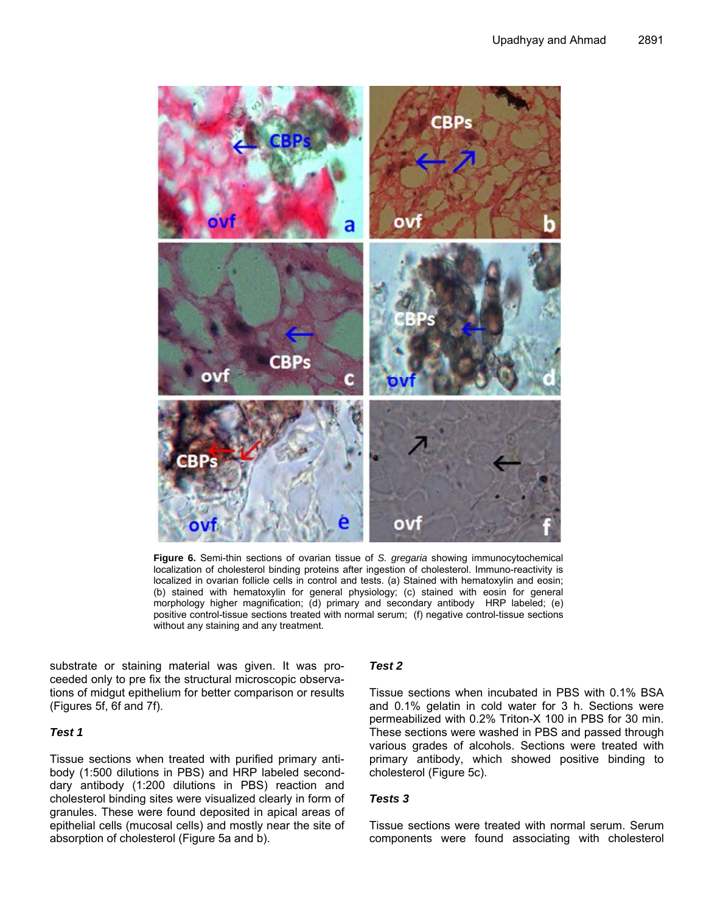

**Figure 6.** Semi-thin sections of ovarian tissue of *S. gregaria* showing immunocytochemical localization of cholesterol binding proteins after ingestion of cholesterol. Immuno-reactivity is localized in ovarian follicle cells in control and tests. (a) Stained with hematoxylin and eosin; (b) stained with hematoxylin for general physiology; (c) stained with eosin for general morphology higher magnification; (d) primary and secondary antibody HRP labeled; (e) positive control-tissue sections treated with normal serum; (f) negative control-tissue sections without any staining and any treatment.

substrate or staining material was given. It was proceeded only to pre fix the structural microscopic observations of midgut epithelium for better comparison or results (Figures 5f, 6f and 7f).

### *Test 1*

Tissue sections when treated with purified primary antibody (1:500 dilutions in PBS) and HRP labeled seconddary antibody (1:200 dilutions in PBS) reaction and cholesterol binding sites were visualized clearly in form of granules. These were found deposited in apical areas of epithelial cells (mucosal cells) and mostly near the site of absorption of cholesterol (Figure 5a and b).

### *Test 2*

Tissue sections when incubated in PBS with 0.1% BSA and 0.1% gelatin in cold water for 3 h. Sections were permeabilized with 0.2% Triton-X 100 in PBS for 30 min. These sections were washed in PBS and passed through various grades of alcohols. Sections were treated with primary antibody, which showed positive binding to cholesterol (Figure 5c).

### *Tests 3*

Tissue sections were treated with normal serum. Serum components were found associating with cholesterol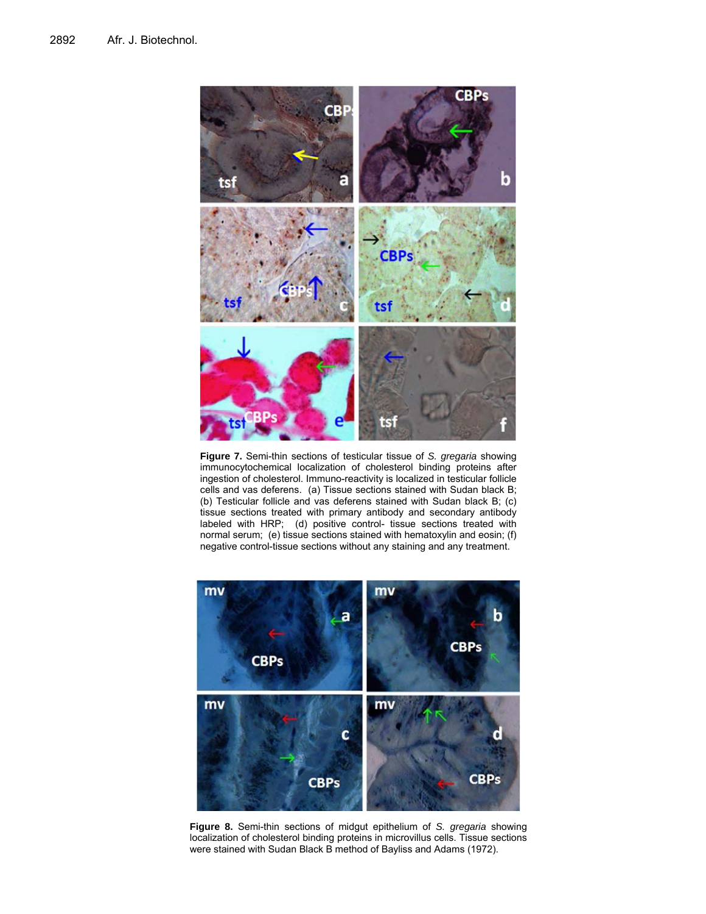

**Figure 7.** Semi-thin sections of testicular tissue of *S. gregaria* showing immunocytochemical localization of cholesterol binding proteins after ingestion of cholesterol. Immuno-reactivity is localized in testicular follicle cells and vas deferens. (a) Tissue sections stained with Sudan black B; (b) Testicular follicle and vas deferens stained with Sudan black B; (c) tissue sections treated with primary antibody and secondary antibody labeled with HRP; (d) positive control- tissue sections treated with normal serum; (e) tissue sections stained with hematoxylin and eosin; (f) negative control-tissue sections without any staining and any treatment.



**Figure 8.** Semi-thin sections of midgut epithelium of *S. gregaria* showing localization of cholesterol binding proteins in microvillus cells. Tissue sections were stained with Sudan Black B method of Bayliss and Adams (1972).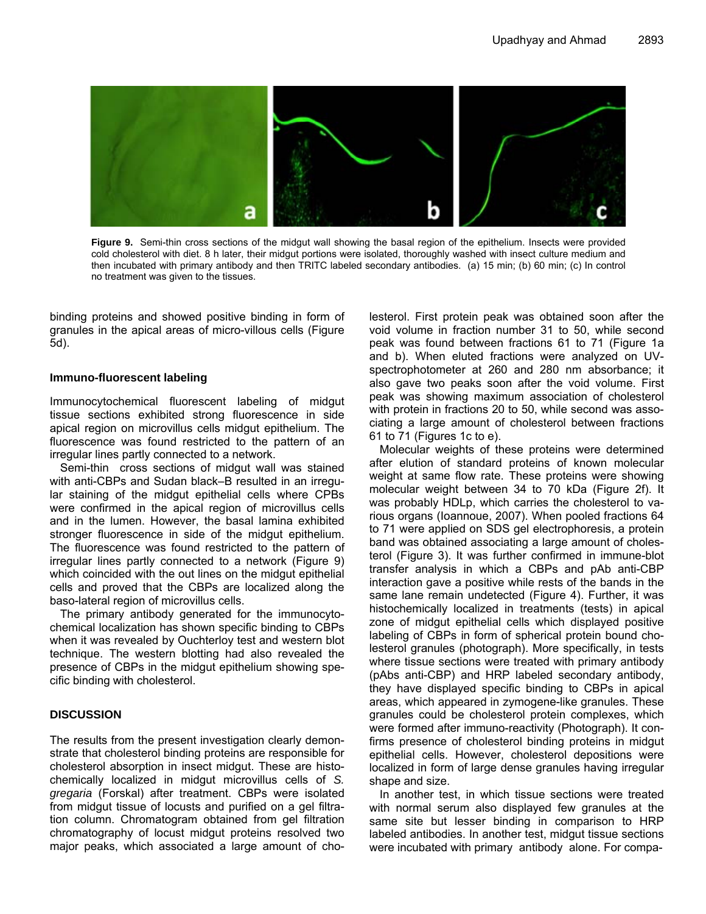

**Figure 9.** Semi-thin cross sections of the midgut wall showing the basal region of the epithelium. Insects were provided cold cholesterol with diet. 8 h later, their midgut portions were isolated, thoroughly washed with insect culture medium and then incubated with primary antibody and then TRITC labeled secondary antibodies. (a) 15 min; (b) 60 min; (c) In control no treatment was given to the tissues.

binding proteins and showed positive binding in form of granules in the apical areas of micro-villous cells (Figure 5d).

#### **Immuno-fluorescent labeling**

Immunocytochemical fluorescent labeling of midgut tissue sections exhibited strong fluorescence in side apical region on microvillus cells midgut epithelium. The fluorescence was found restricted to the pattern of an irregular lines partly connected to a network.

Semi-thin cross sections of midgut wall was stained with anti-CBPs and Sudan black–B resulted in an irregular staining of the midgut epithelial cells where CPBs were confirmed in the apical region of microvillus cells and in the lumen. However, the basal lamina exhibited stronger fluorescence in side of the midgut epithelium. The fluorescence was found restricted to the pattern of irregular lines partly connected to a network (Figure 9) which coincided with the out lines on the midgut epithelial cells and proved that the CBPs are localized along the baso-lateral region of microvillus cells.

The primary antibody generated for the immunocytochemical localization has shown specific binding to CBPs when it was revealed by Ouchterloy test and western blot technique. The western blotting had also revealed the presence of CBPs in the midgut epithelium showing specific binding with cholesterol.

### **DISCUSSION**

The results from the present investigation clearly demonstrate that cholesterol binding proteins are responsible for cholesterol absorption in insect midgut. These are histochemically localized in midgut microvillus cells of *S. gregaria* (Forskal) after treatment. CBPs were isolated from midgut tissue of locusts and purified on a gel filtration column. Chromatogram obtained from gel filtration chromatography of locust midgut proteins resolved two major peaks, which associated a large amount of cholesterol. First protein peak was obtained soon after the void volume in fraction number 31 to 50, while second peak was found between fractions 61 to 71 (Figure 1a and b). When eluted fractions were analyzed on UVspectrophotometer at 260 and 280 nm absorbance; it also gave two peaks soon after the void volume. First peak was showing maximum association of cholesterol with protein in fractions 20 to 50, while second was associating a large amount of cholesterol between fractions 61 to 71 (Figures 1c to e).

Molecular weights of these proteins were determined after elution of standard proteins of known molecular weight at same flow rate. These proteins were showing molecular weight between 34 to 70 kDa (Figure 2f). It was probably HDLp, which carries the cholesterol to various organs (Ioannoue, 2007). When pooled fractions 64 to 71 were applied on SDS gel electrophoresis, a protein band was obtained associating a large amount of cholesterol (Figure 3). It was further confirmed in immune-blot transfer analysis in which a CBPs and pAb anti-CBP interaction gave a positive while rests of the bands in the same lane remain undetected (Figure 4). Further, it was histochemically localized in treatments (tests) in apical zone of midgut epithelial cells which displayed positive labeling of CBPs in form of spherical protein bound cholesterol granules (photograph). More specifically, in tests where tissue sections were treated with primary antibody (pAbs anti-CBP) and HRP labeled secondary antibody, they have displayed specific binding to CBPs in apical areas, which appeared in zymogene-like granules. These granules could be cholesterol protein complexes, which were formed after immuno-reactivity (Photograph). It confirms presence of cholesterol binding proteins in midgut epithelial cells. However, cholesterol depositions were localized in form of large dense granules having irregular shape and size.

In another test, in which tissue sections were treated with normal serum also displayed few granules at the same site but lesser binding in comparison to HRP labeled antibodies. In another test, midgut tissue sections were incubated with primary antibody alone. For compa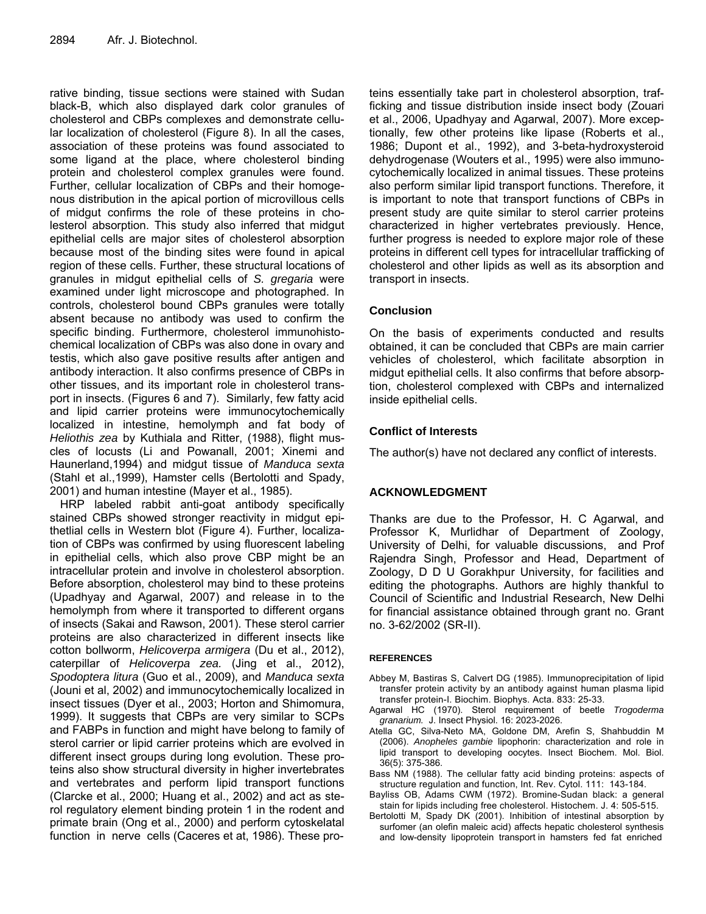rative binding, tissue sections were stained with Sudan black-B, which also displayed dark color granules of cholesterol and CBPs complexes and demonstrate cellular localization of cholesterol (Figure 8). In all the cases, association of these proteins was found associated to some ligand at the place, where cholesterol binding protein and cholesterol complex granules were found. Further, cellular localization of CBPs and their homogenous distribution in the apical portion of microvillous cells of midgut confirms the role of these proteins in cholesterol absorption. This study also inferred that midgut epithelial cells are major sites of cholesterol absorption because most of the binding sites were found in apical region of these cells. Further, these structural locations of granules in midgut epithelial cells of *S. gregaria* were examined under light microscope and photographed. In controls, cholesterol bound CBPs granules were totally absent because no antibody was used to confirm the specific binding. Furthermore, cholesterol immunohistochemical localization of CBPs was also done in ovary and testis, which also gave positive results after antigen and antibody interaction. It also confirms presence of CBPs in other tissues, and its important role in cholesterol transport in insects. (Figures 6 and 7). Similarly, few fatty acid and lipid carrier proteins were immunocytochemically localized in intestine, hemolymph and fat body of *Heliothis zea* by Kuthiala and Ritter, (1988), flight muscles of locusts (Li and Powanall, 2001; Xinemi and Haunerland,1994) and midgut tissue of *Manduca sexta*  (Stahl et al.,1999), Hamster cells (Bertolotti and Spady, 2001) and human intestine (Mayer et al., 1985).

HRP labeled rabbit anti-goat antibody specifically stained CBPs showed stronger reactivity in midgut epithetlial cells in Western blot (Figure 4). Further, localization of CBPs was confirmed by using fluorescent labeling in epithelial cells, which also prove CBP might be an intracellular protein and involve in cholesterol absorption. Before absorption, cholesterol may bind to these proteins (Upadhyay and Agarwal, 2007) and release in to the hemolymph from where it transported to different organs of insects (Sakai and Rawson, 2001). These sterol carrier proteins are also characterized in different insects like cotton bollworm, *Helicoverpa armigera* (Du et al., 2012), caterpillar of *Helicoverpa zea.* (Jing et al., 2012), *Spodoptera litura* (Guo et al., 2009), and *Manduca sexta* (Jouni et al, 2002) and immunocytochemically localized in insect tissues (Dyer et al., 2003; Horton and Shimomura, 1999). It suggests that CBPs are very similar to SCPs and FABPs in function and might have belong to family of sterol carrier or lipid carrier proteins which are evolved in different insect groups during long evolution. These proteins also show structural diversity in higher invertebrates and vertebrates and perform lipid transport functions (Clarcke et al., 2000; Huang et al., 2002) and act as sterol regulatory element binding protein 1 in the rodent and primate brain (Ong et al., 2000) and perform cytoskelatal function in nerve cells (Caceres et at, 1986). These proteins essentially take part in cholesterol absorption, trafficking and tissue distribution inside insect body (Zouari et al., 2006, Upadhyay and Agarwal, 2007). More exceptionally, few other proteins like lipase (Roberts et al., 1986; Dupont et al., 1992), and 3-beta-hydroxysteroid dehydrogenase (Wouters et al., 1995) were also immunocytochemically localized in animal tissues. These proteins also perform similar lipid transport functions. Therefore, it is important to note that transport functions of CBPs in present study are quite similar to sterol carrier proteins characterized in higher vertebrates previously. Hence, further progress is needed to explore major role of these proteins in different cell types for intracellular trafficking of cholesterol and other lipids as well as its absorption and transport in insects.

### **Conclusion**

On the basis of experiments conducted and results obtained, it can be concluded that CBPs are main carrier vehicles of cholesterol, which facilitate absorption in midgut epithelial cells. It also confirms that before absorption, cholesterol complexed with CBPs and internalized inside epithelial cells.

### **Conflict of Interests**

The author(s) have not declared any conflict of interests.

### **ACKNOWLEDGMENT**

Thanks are due to the Professor, H. C Agarwal, and Professor K, Murlidhar of Department of Zoology, University of Delhi, for valuable discussions, and Prof Rajendra Singh, Professor and Head, Department of Zoology, D D U Gorakhpur University, for facilities and editing the photographs. Authors are highly thankful to Council of Scientific and Industrial Research, New Delhi for financial assistance obtained through grant no. Grant no. 3-62/2002 (SR-II).

### **REFERENCES**

- Abbey M, Bastiras S, Calvert DG (1985). Immunoprecipitation of lipid transfer protein activity by an antibody against human plasma lipid transfer protein-I. Biochim. Biophys. Acta. 833: 25-33.
- Agarwal HC (1970). Sterol requirement of beetle *Trogoderma granarium.* J. Insect Physiol. 16: 2023-2026.
- Atella GC, Silva-Neto MA, Goldone DM, Arefin S, Shahbuddin M (2006). *Anopheles gambie* lipophorin: characterization and role in lipid transport to developing oocytes. Insect Biochem. Mol. Biol. 36(5): 375-386.
- Bass NM (1988). The cellular fatty acid binding proteins: aspects of structure regulation and function, Int. Rev. Cytol. 111: 143-184.
- Bayliss OB, Adams CWM (1972). Bromine-Sudan black: a general stain for lipids including free cholesterol. Histochem. J. 4: 505-515.
- Bertolotti M, Spady DK (2001). Inhibition of intestinal absorption by surfomer (an olefin maleic acid) affects hepatic cholesterol synthesis and low-density lipoprotein transport in hamsters fed fat enriched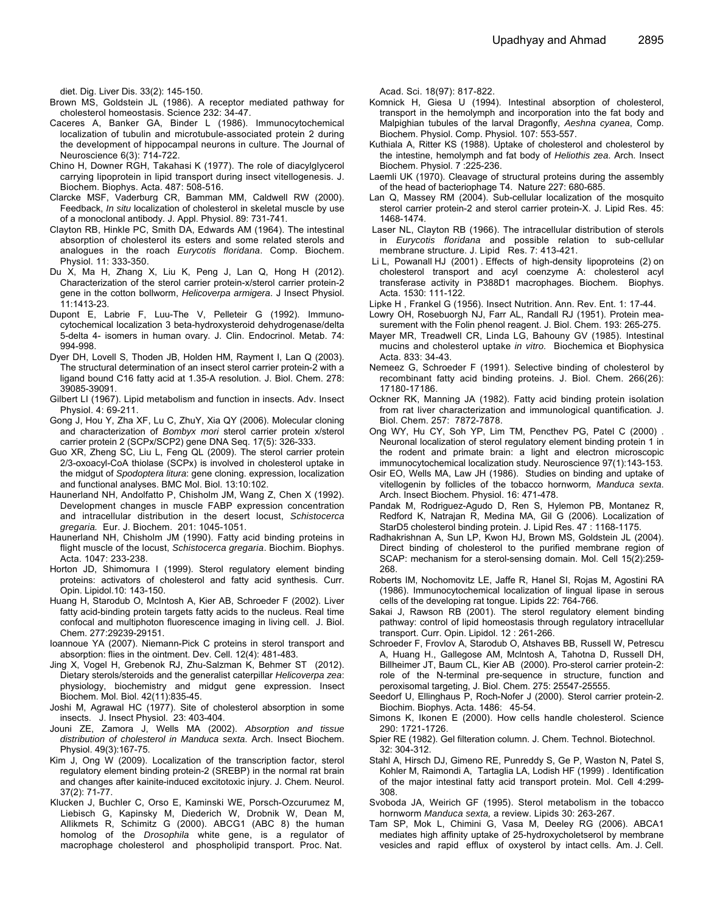diet. Dig. Liver Dis. 33(2): 145-150.

- Brown MS, Goldstein JL (1986). A receptor mediated pathway for cholesterol homeostasis. Science 232: 34-47.
- Caceres A, Banker GA, Binder L (1986). Immunocytochemical localization of tubulin and microtubule-associated protein 2 during the development of hippocampal neurons in culture. The Journal of Neuroscience 6(3): 714-722.
- Chino H, Downer RGH, Takahasi K (1977). The role of diacylglycerol carrying lipoprotein in lipid transport during insect vitellogenesis. J. Biochem. Biophys. Acta. 487: 508-516.
- Clarcke MSF, Vaderburg CR, Bamman MM, Caldwell RW (2000). Feedback, *In situ* localization of cholesterol in skeletal muscle by use of a monoclonal antibody. J. Appl. Physiol. 89: 731-741.
- Clayton RB, Hinkle PC, Smith DA, Edwards AM (1964). The intestinal absorption of cholesterol its esters and some related sterols and analogues in the roach *Eurycotis floridana*. Comp. Biochem. Physiol. 11: 333-350.
- Du X, Ma H, Zhang X, Liu K, Peng J, Lan Q, Hong H (2012). Characterization of the sterol carrier protein-x/sterol carrier protein-2 gene in the cotton bollworm, *Helicoverpa armigera*. J Insect Physiol. 11:1413-23.
- Dupont E, Labrie F, Luu-The V, Pelleteir G (1992). Immunocytochemical localization 3 beta-hydroxysteroid dehydrogenase/delta 5-delta 4- isomers in human ovary. J. Clin. Endocrinol. Metab. 74: 994-998.
- Dyer DH, Lovell S, Thoden JB, Holden HM, Rayment I, Lan Q (2003). The structural determination of an insect sterol carrier protein-2 with a ligand bound C16 fatty acid at 1.35-A resolution. J. Biol. Chem. 278: 39085-39091.
- Gilbert LI (1967). Lipid metabolism and function in insects. Adv. Insect Physiol. 4: 69-211.
- Gong J, Hou Y, Zha XF, Lu C, ZhuY, Xia QY (2006). Molecular cloning and characterization of *Bombyx mori* sterol carrier protein x/sterol carrier protein 2 (SCPx/SCP2) gene DNA Seq. 17(5): 326-333.
- Guo XR, Zheng SC, Liu L, Feng QL (2009). The sterol carrier protein 2/3-oxoacyl-CoA thiolase (SCPx) is involved in cholesterol uptake in the midgut of *Spodoptera litura*: gene cloning. expression, localization and functional analyses. BMC Mol. Biol. 13:10:102.
- Haunerland NH, Andolfatto P, Chisholm JM, Wang Z, Chen X (1992). Development changes in muscle FABP expression concentration and intracellular distribution in the desert locust, *Schistocerca gregaria.* Eur. J. Biochem. 201: 1045-1051.
- Haunerland NH, Chisholm JM (1990). Fatty acid binding proteins in flight muscle of the locust, *Schistocerca gregaria*. Biochim. Biophys. Acta. 1047: 233-238.
- Horton JD, Shimomura I (1999). Sterol regulatory element binding proteins: activators of cholesterol and fatty acid synthesis. Curr. Opin. Lipidol.10: 143-150.
- Huang H, Starodub O, McIntosh A, Kier AB, Schroeder F (2002). Liver fatty acid-binding protein targets fatty acids to the nucleus. Real time confocal and multiphoton fluorescence imaging in living cell. J. Biol. Chem. 277:29239-29151.
- Ioannoue YA (2007). Niemann-Pick C proteins in sterol transport and absorption: flies in the ointment. Dev. Cell. 12(4): 481-483.
- Jing X, Vogel H, Grebenok RJ, Zhu-Salzman K, Behmer ST (2012). Dietary sterols/steroids and the generalist caterpillar *Helicoverpa zea*: physiology, biochemistry and midgut gene expression. Insect Biochem. Mol. Biol. 42(11):835-45.
- Joshi M, Agrawal HC (1977). Site of cholesterol absorption in some insects. J. Insect Physiol. 23: 403-404.
- Jouni ZE, Zamora J, Wells MA (2002). *Absorption and tissue distribution of cholesterol in Manduca sexta*. Arch. Insect Biochem. Physiol. 49(3):167-75.
- Kim J, Ong W (2009). Localization of the transcription factor, sterol regulatory element binding protein-2 (SREBP) in the normal rat brain and changes after kainite-induced excitotoxic injury. J. Chem. Neurol. 37(2): 71-77.
- Klucken J, Buchler C, Orso E, Kaminski WE, Porsch-Ozcurumez M, Liebisch G, Kapinsky M, Diederich W, Drobnik W, Dean M, Allikmets R, Schimitz G (2000). ABCG1 (ABC 8) the human homolog of the *Drosophila* white gene, is a regulator of macrophage cholesterol and phospholipid transport. Proc. Nat.

Acad. Sci. 18(97): 817-822.

- Komnick H, Giesa U (1994). Intestinal absorption of cholesterol, transport in the hemolymph and incorporation into the fat body and Malpighian tubules of the larval Dragonfly, *Aeshna cyanea*, Comp. Biochem. Physiol. Comp. Physiol. 107: 553-557.
- Kuthiala A, Ritter KS (1988). Uptake of cholesterol and cholesterol by the intestine, hemolymph and fat body of *Heliothis zea*. Arch. Insect Biochem. Physiol. 7 :225-236.
- Laemli UK (1970). Cleavage of structural proteins during the assembly of the head of bacteriophage T4. Nature 227: 680-685.
- Lan Q, Massey RM (2004). Sub-cellular localization of the mosquito sterol carrier protein-2 and sterol carrier protein-X. J. Lipid Res. 45: 1468-1474.
- Laser NL, Clayton RB (1966). The intracellular distribution of sterols in *Eurycotis floridana* and possible relation to sub-cellular membrane structure. J. Lipid Res. 7: 413-421.
- Li L, Powanall HJ (2001) . Effects of high-density lipoproteins (2) on cholesterol transport and acyl coenzyme A: cholesterol acyl transferase activity in P388D1 macrophages. Biochem. Biophys. Acta. 1530: 111-122.
- Lipke H , Frankel G (1956). Insect Nutrition. Ann. Rev. Ent. 1: 17-44.
- Lowry OH, Rosebuorgh NJ, Farr AL, Randall RJ (1951). Protein measurement with the Folin phenol reagent. J. Biol. Chem. 193: 265-275.
- Mayer MR, Treadwell CR, Linda LG, Bahouny GV (1985). Intestinal mucins and cholesterol uptake *in vitro.* Biochemica et Biophysica Acta. 833: 34-43.
- Nemeez G, Schroeder F (1991). Selective binding of cholesterol by recombinant fatty acid binding proteins. J. Biol. Chem. 266(26): 17180-17186.
- Ockner RK, Manning JA (1982). Fatty acid binding protein isolation from rat liver characterization and immunological quantification*.* J. Biol. Chem. 257: 7872-7878.
- Ong WY, Hu CY, Soh YP, Lim TM, Pencthev PG, Patel C (2000) . Neuronal localization of sterol regulatory element binding protein 1 in the rodent and primate brain: a light and electron microscopic immunocytochemical localization study. Neuroscience 97(1):143-153.
- Osir EO, Wells MA, Law JH (1986). Studies on binding and uptake of vitellogenin by follicles of the tobacco hornworm*, Manduca sexta*. Arch. Insect Biochem. Physiol. 16: 471-478.
- Pandak M, Rodriguez-Agudo D, Ren S, Hylemon PB, Montanez R, Redford K, Natrajan R, Medina MA, Gil G (2006). Localization of StarD5 cholesterol binding protein. J. Lipid Res. 47 : 1168-1175.
- Radhakrishnan A, Sun LP, Kwon HJ, Brown MS, Goldstein JL (2004). Direct binding of cholesterol to the purified membrane region of SCAP: mechanism for a sterol-sensing domain. Mol. Cell 15(2):259- 268.
- Roberts IM, Nochomovitz LE, Jaffe R, Hanel SI, Rojas M, Agostini RA (1986). Immunocytochemical localization of lingual lipase in serous cells of the developing rat tongue. Lipids 22: 764-766.
- Sakai J, Rawson RB (2001). The sterol regulatory element binding pathway: control of lipid homeostasis through regulatory intracellular transport. Curr. Opin. Lipidol. 12 : 261-266.
- Schroeder F, Frovlov A, Starodub O, Atshaves BB, Russell W, Petrescu A, Huang H., Gallegose AM, Mclntosh A, Tahotna D, Russell DH, Billheimer JT, Baum CL, Kier AB (2000). Pro-sterol carrier protein-2: role of the N-terminal pre-sequence in structure, function and peroxisomal targeting, J. Biol. Chem. 275: 25547-25555.
- Seedorf U, Ellinghaus P, Roch-Nofer J (2000). Sterol carrier protein-2. Biochim. Biophys. Acta. 1486: 45-54.
- Simons K, Ikonen E (2000). How cells handle cholesterol. Science 290: 1721-1726.
- Spier RE (1982). Gel filteration column. J. Chem. Technol. Biotechnol. 32: 304-312.
- Stahl A, Hirsch DJ, Gimeno RE, Punreddy S, Ge P, Waston N, Patel S, Kohler M, Raimondi A, Tartaglia LA, Lodish HF (1999) . Identification of the major intestinal fatty acid transport protein. Mol. Cell 4:299- 308.
- Svoboda JA, Weirich GF (1995). Sterol metabolism in the tobacco hornworm *Manduca sexta,* a review. Lipids 30: 263-267.
- Tam SP, Mok L, Chimini G, Vasa M, Deeley RG (2006). ABCA1 mediates high affinity uptake of 25-hydroxycholetserol by membrane vesicles and rapid efflux of oxysterol by intact cells. Am. J. Cell.